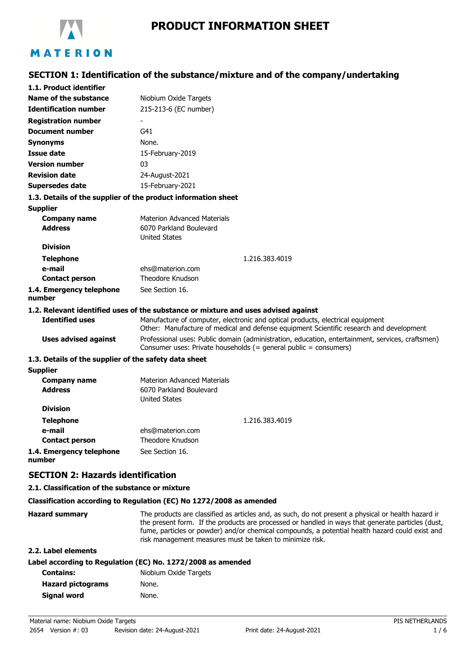

# **PRODUCT INFORMATION SHEET**

## **SECTION 1: Identification of the substance/mixture and of the company/undertaking**

| 1.1. Product identifier                               |                                                                                                                                                                           |  |
|-------------------------------------------------------|---------------------------------------------------------------------------------------------------------------------------------------------------------------------------|--|
| Name of the substance                                 | Niobium Oxide Targets                                                                                                                                                     |  |
| <b>Identification number</b>                          | 215-213-6 (EC number)                                                                                                                                                     |  |
| <b>Registration number</b>                            |                                                                                                                                                                           |  |
| <b>Document number</b>                                | G41                                                                                                                                                                       |  |
| <b>Synonyms</b>                                       | None.                                                                                                                                                                     |  |
| <b>Issue date</b>                                     | 15-February-2019                                                                                                                                                          |  |
| <b>Version number</b>                                 | 03                                                                                                                                                                        |  |
| <b>Revision date</b>                                  | 24-August-2021                                                                                                                                                            |  |
| Supersedes date                                       | 15-February-2021                                                                                                                                                          |  |
|                                                       | 1.3. Details of the supplier of the product information sheet                                                                                                             |  |
| <b>Supplier</b>                                       |                                                                                                                                                                           |  |
| <b>Company name</b>                                   | <b>Materion Advanced Materials</b>                                                                                                                                        |  |
| <b>Address</b>                                        | 6070 Parkland Boulevard                                                                                                                                                   |  |
|                                                       | <b>United States</b>                                                                                                                                                      |  |
| <b>Division</b>                                       |                                                                                                                                                                           |  |
| <b>Telephone</b>                                      | 1.216.383.4019                                                                                                                                                            |  |
| e-mail                                                | ehs@materion.com<br>Theodore Knudson                                                                                                                                      |  |
| <b>Contact person</b>                                 |                                                                                                                                                                           |  |
| 1.4. Emergency telephone<br>number                    | See Section 16.                                                                                                                                                           |  |
|                                                       | 1.2. Relevant identified uses of the substance or mixture and uses advised against                                                                                        |  |
| <b>Identified uses</b>                                | Manufacture of computer, electronic and optical products, electrical equipment<br>Other: Manufacture of medical and defense equipment Scientific research and development |  |
| <b>Uses advised against</b>                           | Professional uses: Public domain (administration, education, entertainment, services, craftsmen)<br>Consumer uses: Private households (= general public = consumers)      |  |
| 1.3. Details of the supplier of the safety data sheet |                                                                                                                                                                           |  |
| <b>Supplier</b>                                       |                                                                                                                                                                           |  |
| <b>Company name</b>                                   | <b>Materion Advanced Materials</b>                                                                                                                                        |  |
| <b>Address</b>                                        | 6070 Parkland Boulevard                                                                                                                                                   |  |
|                                                       | <b>United States</b>                                                                                                                                                      |  |
| <b>Division</b>                                       |                                                                                                                                                                           |  |
| <b>Telephone</b>                                      | 1.216.383.4019                                                                                                                                                            |  |
| e-mail                                                | ehs@materion.com                                                                                                                                                          |  |
| <b>Contact person</b>                                 | Theodore Knudson                                                                                                                                                          |  |
| 1.4. Emergency telephone                              | See Section 16.                                                                                                                                                           |  |

# **SECTION 2: Hazards identification**

#### **2.1. Classification of the substance or mixture**

#### **Classification according to Regulation (EC) No 1272/2008 as amended**

**Hazard summary** The products are classified as articles and, as such, do not present a physical or health hazard in the present form. If the products are processed or handled in ways that generate particles (dust, fume, particles or powder) and/or chemical compounds, a potential health hazard could exist and risk management measures must be taken to minimize risk.

### **2.2. Label elements**

**number**

### **Label according to Regulation (EC) No. 1272/2008 as amended**

| <b>Contains:</b>         | Niobium Oxide Targets |
|--------------------------|-----------------------|
| <b>Hazard pictograms</b> | None.                 |
| Signal word              | None.                 |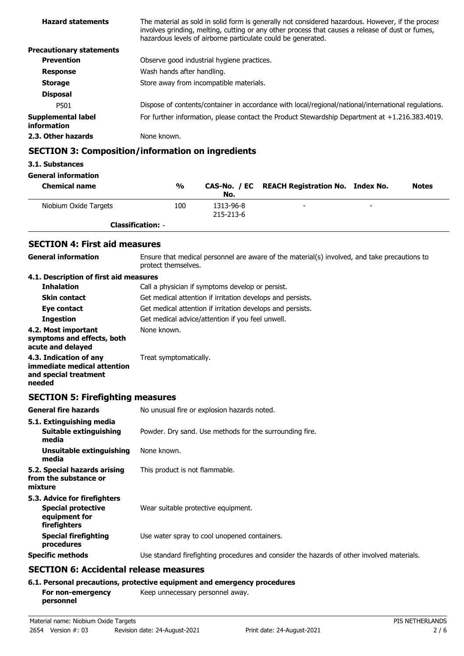| <b>Hazard statements</b>          | The material as sold in solid form is generally not considered hazardous. However, if the process<br>involves grinding, melting, cutting or any other process that causes a release of dust or fumes,<br>hazardous levels of airborne particulate could be generated. |
|-----------------------------------|-----------------------------------------------------------------------------------------------------------------------------------------------------------------------------------------------------------------------------------------------------------------------|
| <b>Precautionary statements</b>   |                                                                                                                                                                                                                                                                       |
| <b>Prevention</b>                 | Observe good industrial hygiene practices.                                                                                                                                                                                                                            |
| <b>Response</b>                   | Wash hands after handling.                                                                                                                                                                                                                                            |
| <b>Storage</b>                    | Store away from incompatible materials.                                                                                                                                                                                                                               |
| <b>Disposal</b>                   |                                                                                                                                                                                                                                                                       |
| P501                              | Dispose of contents/container in accordance with local/regional/national/international regulations.                                                                                                                                                                   |
| Supplemental label<br>information | For further information, please contact the Product Stewardship Department at +1.216.383.4019.                                                                                                                                                                        |
| 2.3. Other hazards                | None known.                                                                                                                                                                                                                                                           |

## **SECTION 3: Composition/information on ingredients**

#### **3.1. Substances**

**General information**

| <b>Chemical name</b>     | %   | No.       | CAS-No. / EC REACH Registration No. Index No. | <b>Notes</b> |
|--------------------------|-----|-----------|-----------------------------------------------|--------------|
| Niobium Oxide Targets    | 100 | 1313-96-8 | $\overline{\phantom{a}}$                      |              |
|                          |     | 215-213-6 |                                               |              |
| <b>Classification: -</b> |     |           |                                               |              |

## **SECTION 4: First aid measures**

### **General information**

Ensure that medical personnel are aware of the material(s) involved, and take precautions to protect themselves.

#### **4.1. Description of first aid measures**

| <b>Inhalation</b>                                                              | Call a physician if symptoms develop or persist.           |
|--------------------------------------------------------------------------------|------------------------------------------------------------|
| <b>Skin contact</b>                                                            | Get medical attention if irritation develops and persists. |
| Eye contact                                                                    | Get medical attention if irritation develops and persists. |
| <b>Ingestion</b>                                                               | Get medical advice/attention if you feel unwell.           |
| 4.2. Most important<br>symptoms and effects, both<br>acute and delayed         | None known.                                                |
| 4.3. Indication of any<br>immediate medical attention<br>and special treatment | Treat symptomatically.                                     |

### **needed**

## **SECTION 5: Firefighting measures**

| <b>General fire hazards</b>                                                                | No unusual fire or explosion hazards noted.                                                |
|--------------------------------------------------------------------------------------------|--------------------------------------------------------------------------------------------|
| 5.1. Extinguishing media<br>Suitable extinguishing<br>media                                | Powder. Dry sand. Use methods for the surrounding fire.                                    |
| Unsuitable extinguishing<br>media                                                          | None known.                                                                                |
| 5.2. Special hazards arising<br>from the substance or<br>mixture                           | This product is not flammable.                                                             |
| 5.3. Advice for firefighters<br><b>Special protective</b><br>equipment for<br>firefighters | Wear suitable protective equipment.                                                        |
| <b>Special firefighting</b><br>procedures                                                  | Use water spray to cool unopened containers.                                               |
| <b>Specific methods</b>                                                                    | Use standard firefighting procedures and consider the hazards of other involved materials. |
| <b>SECTION 6: Accidental release measures</b>                                              |                                                                                            |

### **6.1. Personal precautions, protective equipment and emergency procedures**

| For non-emergency | Keep unnecessary personnel away. |  |
|-------------------|----------------------------------|--|
| personnel         |                                  |  |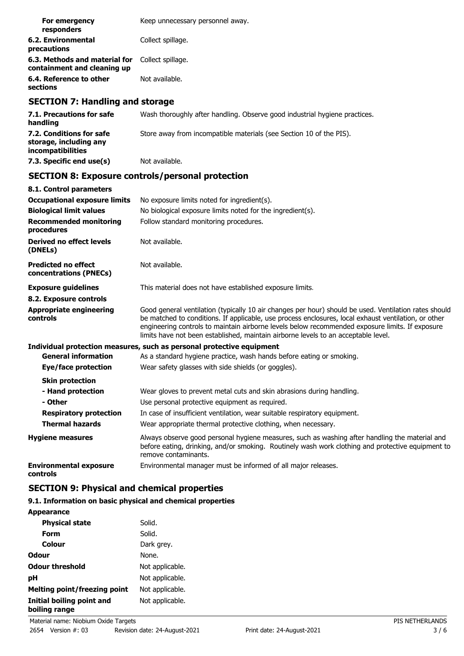| For emergency<br>responders                                  | Keep unnecessary personnel away. |
|--------------------------------------------------------------|----------------------------------|
| 6.2. Environmental<br>precautions                            | Collect spillage.                |
| 6.3. Methods and material for<br>containment and cleaning up | Collect spillage.                |
| 6.4. Reference to other<br>sections                          | Not available.                   |

## **SECTION 7: Handling and storage**

| 7.1. Precautions for safe<br>handling                                   | Wash thoroughly after handling. Observe good industrial hygiene practices. |
|-------------------------------------------------------------------------|----------------------------------------------------------------------------|
| 7.2. Conditions for safe<br>storage, including any<br>incompatibilities | Store away from incompatible materials (see Section 10 of the PIS).        |
| 7.3. Specific end use(s)                                                | Not available.                                                             |

## **SECTION 8: Exposure controls/personal protection**

| 8.1. Control parameters                              |                                                                                                                                                                                                                                                                                                                                                                                                        |
|------------------------------------------------------|--------------------------------------------------------------------------------------------------------------------------------------------------------------------------------------------------------------------------------------------------------------------------------------------------------------------------------------------------------------------------------------------------------|
| <b>Occupational exposure limits</b>                  | No exposure limits noted for ingredient(s).                                                                                                                                                                                                                                                                                                                                                            |
| <b>Biological limit values</b>                       | No biological exposure limits noted for the ingredient(s).                                                                                                                                                                                                                                                                                                                                             |
| <b>Recommended monitoring</b><br>procedures          | Follow standard monitoring procedures.                                                                                                                                                                                                                                                                                                                                                                 |
| Derived no effect levels<br>(DNELs)                  | Not available.                                                                                                                                                                                                                                                                                                                                                                                         |
| <b>Predicted no effect</b><br>concentrations (PNECs) | Not available.                                                                                                                                                                                                                                                                                                                                                                                         |
| <b>Exposure guidelines</b>                           | This material does not have established exposure limits.                                                                                                                                                                                                                                                                                                                                               |
| 8.2. Exposure controls                               |                                                                                                                                                                                                                                                                                                                                                                                                        |
| <b>Appropriate engineering</b><br>controls           | Good general ventilation (typically 10 air changes per hour) should be used. Ventilation rates should<br>be matched to conditions. If applicable, use process enclosures, local exhaust ventilation, or other<br>engineering controls to maintain airborne levels below recommended exposure limits. If exposure<br>limits have not been established, maintain airborne levels to an acceptable level. |
|                                                      | Individual protection measures, such as personal protective equipment                                                                                                                                                                                                                                                                                                                                  |
| <b>General information</b>                           | As a standard hygiene practice, wash hands before eating or smoking.                                                                                                                                                                                                                                                                                                                                   |
| Eye/face protection                                  | Wear safety glasses with side shields (or goggles).                                                                                                                                                                                                                                                                                                                                                    |
| <b>Skin protection</b>                               |                                                                                                                                                                                                                                                                                                                                                                                                        |
| - Hand protection                                    | Wear gloves to prevent metal cuts and skin abrasions during handling.                                                                                                                                                                                                                                                                                                                                  |
| - Other                                              | Use personal protective equipment as required.                                                                                                                                                                                                                                                                                                                                                         |
| <b>Respiratory protection</b>                        | In case of insufficient ventilation, wear suitable respiratory equipment.                                                                                                                                                                                                                                                                                                                              |
| <b>Thermal hazards</b>                               | Wear appropriate thermal protective clothing, when necessary.                                                                                                                                                                                                                                                                                                                                          |
| <b>Hygiene measures</b>                              | Always observe good personal hygiene measures, such as washing after handling the material and<br>before eating, drinking, and/or smoking. Routinely wash work clothing and protective equipment to<br>remove contaminants.                                                                                                                                                                            |
| <b>Environmental exposure</b><br>controls            | Environmental manager must be informed of all major releases.                                                                                                                                                                                                                                                                                                                                          |

## **SECTION 9: Physical and chemical properties**

## **9.1. Information on basic physical and chemical properties**

| Solid.          |
|-----------------|
| Solid.          |
| Dark grey.      |
| None.           |
| Not applicable. |
| Not applicable. |
| Not applicable. |
| Not applicable. |
|                 |

**Appearance**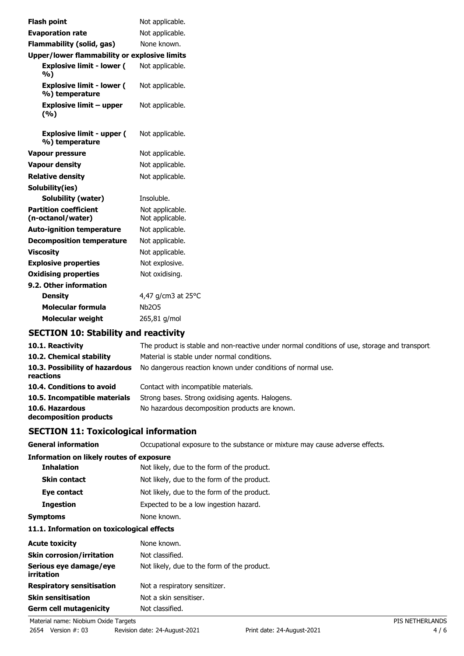| Not applicable.                                     |
|-----------------------------------------------------|
| Not applicable.                                     |
| None known.                                         |
| <b>Upper/lower flammability or explosive limits</b> |
| Not applicable.                                     |
| Not applicable.                                     |
| Not applicable.                                     |
| Not applicable.                                     |
| Not applicable.                                     |
| Not applicable.                                     |
| Not applicable.                                     |
|                                                     |
| Insoluble.                                          |
| Not applicable.<br>Not applicable.                  |
| Not applicable.                                     |
| Not applicable.                                     |
| Not applicable.                                     |
| Not explosive.                                      |
| Not oxidising.                                      |
|                                                     |
| 4,47 g/cm3 at 25°C                                  |
| <b>Nb2O5</b>                                        |
| 265,81 g/mol                                        |
|                                                     |

## **SECTION 10: Stability and reactivity**

| 10.1. Reactivity                            | The product is stable and non-reactive under normal conditions of use, storage and transport |
|---------------------------------------------|----------------------------------------------------------------------------------------------|
| 10.2. Chemical stability                    | Material is stable under normal conditions.                                                  |
| 10.3. Possibility of hazardous<br>reactions | No dangerous reaction known under conditions of normal use.                                  |
| 10.4. Conditions to avoid                   | Contact with incompatible materials.                                                         |
| 10.5. Incompatible materials                | Strong bases. Strong oxidising agents. Halogens.                                             |
| 10.6. Hazardous<br>decomposition products   | No hazardous decomposition products are known.                                               |

## **SECTION 11: Toxicological information**

**General information CCCUPATION** Occupational exposure to the substance or mixture may cause adverse effects.

### **Information on likely routes of exposure**

| <b>Inhalation</b>   | Not likely, due to the form of the product. |
|---------------------|---------------------------------------------|
| <b>Skin contact</b> | Not likely, due to the form of the product. |
| Eye contact         | Not likely, due to the form of the product. |
| <b>Ingestion</b>    | Expected to be a low ingestion hazard.      |
| <b>Symptoms</b>     | None known.                                 |

#### **11.1. Information on toxicological effects**

| <b>Acute toxicity</b>                | None known.                                 |
|--------------------------------------|---------------------------------------------|
| <b>Skin corrosion/irritation</b>     | Not classified.                             |
| Serious eye damage/eye<br>irritation | Not likely, due to the form of the product. |
| <b>Respiratory sensitisation</b>     | Not a respiratory sensitizer.               |
| <b>Skin sensitisation</b>            | Not a skin sensitiser.                      |
| <b>Germ cell mutagenicity</b>        | Not classified.                             |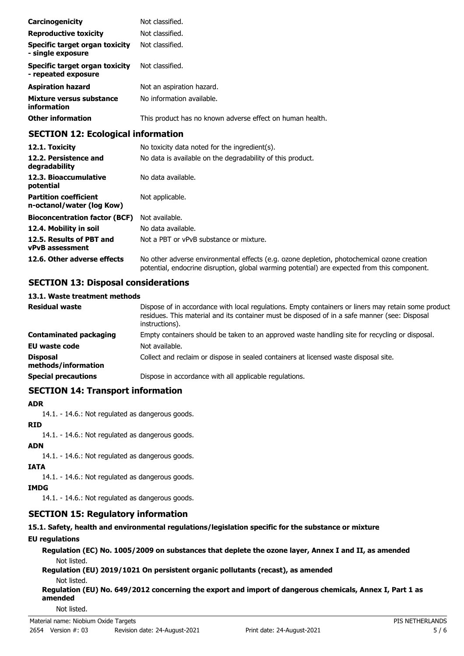| Carcinogenicity                                              | Not classified.                                           |
|--------------------------------------------------------------|-----------------------------------------------------------|
| <b>Reproductive toxicity</b>                                 | Not classified.                                           |
| Specific target organ toxicity<br>- single exposure          | Not classified.                                           |
| <b>Specific target organ toxicity</b><br>- repeated exposure | Not classified.                                           |
| <b>Aspiration hazard</b>                                     | Not an aspiration hazard.                                 |
| Mixture versus substance<br>information                      | No information available.                                 |
| <b>Other information</b>                                     | This product has no known adverse effect on human health. |

## **SECTION 12: Ecological information**

| 12.1. Toxicity                                            | No toxicity data noted for the ingredient(s).                                                                                                                                              |
|-----------------------------------------------------------|--------------------------------------------------------------------------------------------------------------------------------------------------------------------------------------------|
| 12.2. Persistence and<br>degradability                    | No data is available on the degradability of this product.                                                                                                                                 |
| 12.3. Bioaccumulative<br>potential                        | No data available.                                                                                                                                                                         |
| <b>Partition coefficient</b><br>n-octanol/water (log Kow) | Not applicable.                                                                                                                                                                            |
| <b>Bioconcentration factor (BCF)</b>                      | Not available.                                                                                                                                                                             |
| 12.4. Mobility in soil                                    | No data available.                                                                                                                                                                         |
| 12.5. Results of PBT and<br><b>vPvB</b> assessment        | Not a PBT or vPvB substance or mixture.                                                                                                                                                    |
| 12.6. Other adverse effects                               | No other adverse environmental effects (e.g. ozone depletion, photochemical ozone creation<br>potential, endocrine disruption, global warming potential) are expected from this component. |

## **SECTION 13: Disposal considerations**

### **13.1. Waste treatment methods**

| <b>Residual waste</b>                  | Dispose of in accordance with local regulations. Empty containers or liners may retain some product<br>residues. This material and its container must be disposed of in a safe manner (see: Disposal<br>instructions). |
|----------------------------------------|------------------------------------------------------------------------------------------------------------------------------------------------------------------------------------------------------------------------|
| <b>Contaminated packaging</b>          | Empty containers should be taken to an approved waste handling site for recycling or disposal.                                                                                                                         |
| <b>EU waste code</b>                   | Not available.                                                                                                                                                                                                         |
| <b>Disposal</b><br>methods/information | Collect and reclaim or dispose in sealed containers at licensed waste disposal site.                                                                                                                                   |
| <b>Special precautions</b>             | Dispose in accordance with all applicable regulations.                                                                                                                                                                 |

## **SECTION 14: Transport information**

#### **ADR**

14.1. - 14.6.: Not regulated as dangerous goods.

### **RID**

14.1. - 14.6.: Not regulated as dangerous goods.

**ADN**

14.1. - 14.6.: Not regulated as dangerous goods.

### **IATA**

- 14.1. 14.6.: Not regulated as dangerous goods.
- **IMDG**

14.1. - 14.6.: Not regulated as dangerous goods.

## **SECTION 15: Regulatory information**

## **15.1. Safety, health and environmental regulations/legislation specific for the substance or mixture**

## **EU regulations**

**Regulation (EC) No. 1005/2009 on substances that deplete the ozone layer, Annex I and II, as amended** Not listed.

**Regulation (EU) 2019/1021 On persistent organic pollutants (recast), as amended**

Not listed.

**Regulation (EU) No. 649/2012 concerning the export and import of dangerous chemicals, Annex I, Part 1 as amended**

Not listed.